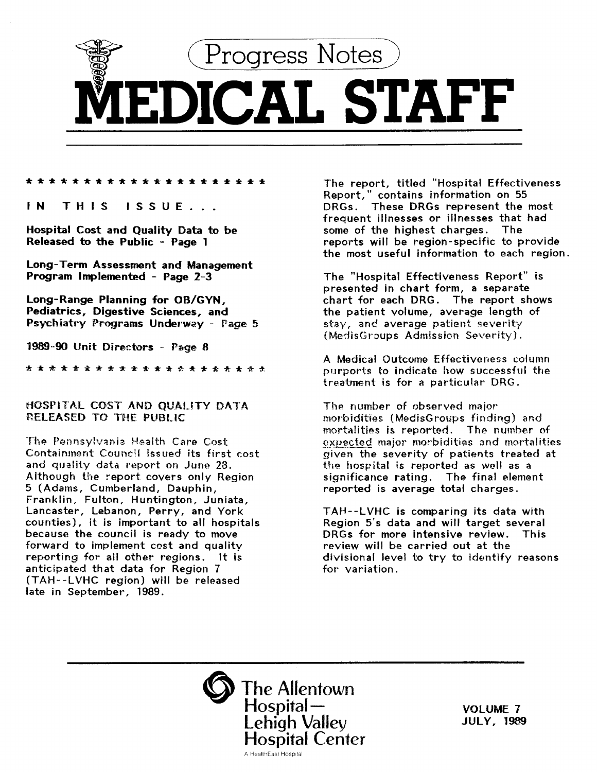

## \*\*\*\*\*\*\*\*\*\*\*\*\*\*\*\*\*\*\*\*\*

IN THIS ISSUE ...

Hospital Cost and Quality Data to be Released to the Public - Page 1

Long-Term Assessment and Management Program Implemented - Page 2-3

Long-Range Planning for OB/GYN, Pediatrics, Digestive Sciences, and Psychiatry Programs Underway - Page 5

1989-90 Unit Directors - Page 8

\*\*\*\*\*\*\*\*\*\*\*\*\*\*\*\*\*

# HOSPlTAL COST AND QUALiTY DATA 'RELEASED TO THE PUBLIC

The Pennsylvania Health Care Cost Containment Council issued its first cost and quality data report on June 28. Although the report covers only Region 5 (Adams, Cumberland, Dauphin, Franklin, Fulton, Huntington, Juniata, Lancaster, Lebanon, Perry, and York counties), it is important to all hospitals because the council is ready to move forward to implement cost and quality reporting for all other regions. It is anticipated that data for Region 7 (TAH--LVHC region) will be released late in September, 1989.

The report, titled "Hospital Effectiveness Report," contains information on 55 DRGs. These DRGs represent the most frequent illnesses or illnesses that had some of the highest charges. The reports will be region-specific to provide the most useful information to each region.

The "Hospital Effectiveness Report" is presented in chart form, a separate chart for each DRG. The report shows the patient volume, average length of  $stay$ , and average patient severity (MedisGroups Admission Severity).

A Medical Outcome Effectiveness column purports to indicate how successful the treatment is for a particular DRG.

The number of observed major morbidities (MedisGroups finding) and mortalities is reported. The number of expected major morbidities and mortalities given the severity of patients treated at the hospital is reported as well as a significance rating. The final element reported is average total charges.

TAH--LVHC is comparing its data with Region 5's data and will target several DRGs for more intensive review. This review will be carried out at the divisional level to try to identify reasons for variation.



VOLUME 7 JULY, 1989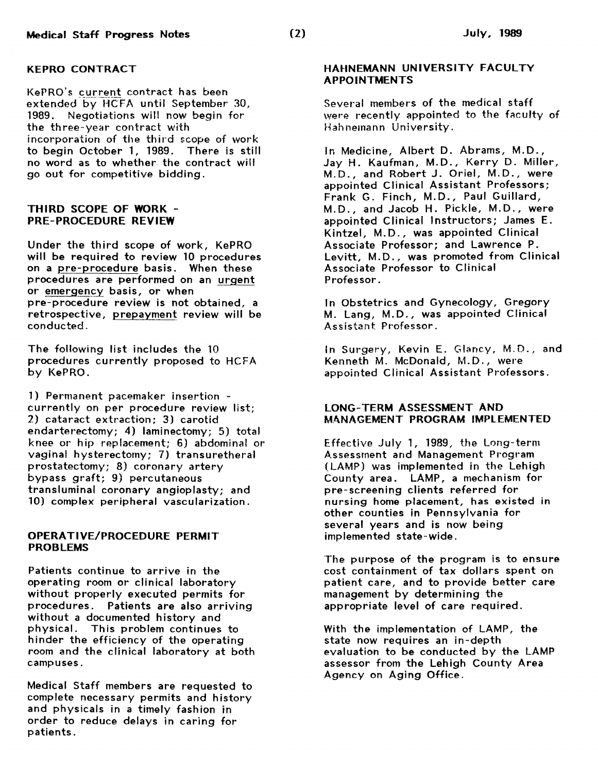#### KEPRO CONTRACT

KePRO's current contract has been<br>extended by HCFA until September 30, 1989. Negotiations will now begin for the three-year contract with incorporation of the third scope of work to begin October 1, 1989. There is still no word as to whether the contract will go out for competitive bidding.

## THIRD SCOPE OF WORK - PRE-PROCEDURE REVIEW

Under the third scope of work, KePRO will be required to review 10 procedures on a pre-procedure basis. When these procedures are performed on an urgent or emergency basis, or when pre-procedure review is not obtained, a retrospective, prepayment review will be conducted.

The following list includes the 10 procedures currently proposed to HCFA by KePRO.

1) Permanent pacemaker insertion currently on per procedure review list; 2) cataract extraction; 3) carotid endarterectomy; 4) laminectomy; 5) total knee or· hip replacement; 6) abdominal or vaginal hysterectomy; 7) transuretheral prostatectomy; 8) coronary artery bypass graft; 9) percutaneous transluminal coronary angioplasty; and 10) complex peripheral vascularization.

## OPERATIVE/PROCEDURE PERMIT PROBLEMS

Patients continue to arrive in the operating room or clinical laboratory without properly executed permits for procedures. Patients are also arriving without a documented history and physical. This problem continues to hinder the efficiency of the operating room and the clinical laboratory at both campuses.

Medical Staff members are requested to complete necessary permits and history and physicals in a timely fashion in order to reduce delays in caring for patients.

# HAHNFMANN UNIVERSITY FACULTY APPOINTMENTS

Several members of the medical staff were recently appointed to the faculty of Hahnemann University.

In Medicine, Albert D. Abrams, M.D., Jay H. Kaufman, M.D., Kerry D. Miller, M.D., and Robert J. Oriel, M.D., were appointed Clinical Assistant Professors; Frank G. Finch, M.D., Paul Guillard, M.D., and Jacob H. Pickle, M.D., were appointed Clinical Instructors; James E. Kintzel, M.D., was appointed Clinical Associate Professor; and Lawrence P. Levitt, M.D., was promoted from Clinical Associate Professor to Clinical Professor.

In Obstetrics and Gynecology, Gregory M. Lang, M.D., was appointed Clinical Assistant Professor.

In Surgery, Kevin E. Glancy, M.D., and Kenneth M. McDonald, M.D., were appointed Clinical Assistant Professors.

# LONG-TERM ASSESSMENT AND MANAGEMENT PROGRAM IMPLEMENTED

Effective July 1, 1989, the Long-term Assessment and Management Program (LAMP) was implemented in the Lehigh County area. LAMP, a mechanism for pre-screening clients referred for nursing home placement, has existed in other counties in Pennsylvania for several years and is now being implemented state-wide.

The purpose of the program is to ensure cost containment of tax dollars spent on patient care, and to provide better care management by determining the appropriate level of care required.

With the implementation of LAMP, the state now requires an in-depth evaluation to be conducted by the LAMP assessor from the Lehigh County Area Agency on Aging Office.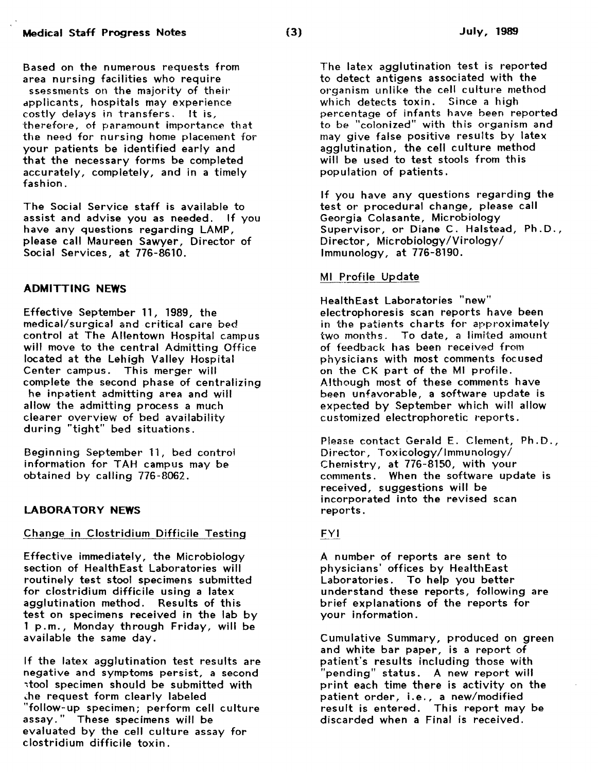Based on the numerous requests from area nursing facilities who require ssessments on the majority of their dpplicants, hospitals may experience costly delays in transfers. It is, therefore, of paramount importance that the need for nursing home placement for your patients be identified early and that the necessary forms be completed accurately, completely, and in a timely fashion.

The Social Service staff is available to assist and advise you as needed. If you have any questions regarding LAMP, please call Maureen Sawyer, Director of Social Services, at 776-8610.

#### ADMITTING NEWS

Effective September 11, 1989, the medical/surgical and critical care bed control at The Allentown Hospital campus will move to the central Admitting Office located at the Lehigh Valley Hospital Center campus. This merger will complete the second phase of centralizing he inpatient admitting area and will allow the admitting process a much clearer overview of bed availability during "tight" bed situations.

Beginning September 11, bed control information for TAH campus may be obtained by calling 776-8062.

# LABORATORY NEWS

## Change in Clostridium Difficile Testing

Effective immediately, the Microbiology section of HealthEast Laboratories will routinely test stool specimens submitted for clostridium difficile using a latex agglutination method. Results of this test on specimens received in the lab by 1 p.m., Monday through Friday, will be available the same day.

If the latex agglutination test results are negative and symptoms persist, a second ~tool specimen should be submitted with .:he request form clearly labeled "follow-up specimen; perform cell culture assay. These specimens will be evaluated by the cell culture assay for clostridium difficile toxin.

The latex agglutination test is reported to detect antigens associated with the organism unlike the cell culture method which detects toxin. Since a high percentage of infants have been reported to be "colonized" with this organism and may give false positive results by latex agglutination, the cell culture method will be used to test stools from this population of patients.

If you have any questions regarding the test or procedural change, please call Georgia Colasante, Microbiology Supervisor, or Diane C. Halstead, Ph.D., Director, Microbiology/Virology/ Immunology, at 776-8190.

## Ml Profile Update

HealthEast Laboratories "new" electrophoresis scan reports have been in the patients charts for approximately two months. To date, a limited amount of feedback has been received from physicians with most comments focused on the CK part of the Ml profile. Although most of these comments have been unfavorable, a software update is expected by September which will allow customized electrophoretic reports.

Please contact Gerald E. Clement, Ph.D., Director, Toxicology/Immunology/ Chemistry, at 776-8150, with your comments. When the software update is received, suggestions will be incorporated into the revised scan reports.

# FYI

A number of reports are sent to physicians' offices by HealthEast Laboratories. To help you better understand these reports, following are brief explanations of the reports for your information.

Cumulative Summary, produced on green and white bar paper, is a report of patient's results including those with "pending" status. A new report will print each time there is activity on the patient order, i.e., a new/modified result is entered. This report may be discarded when a Final is received.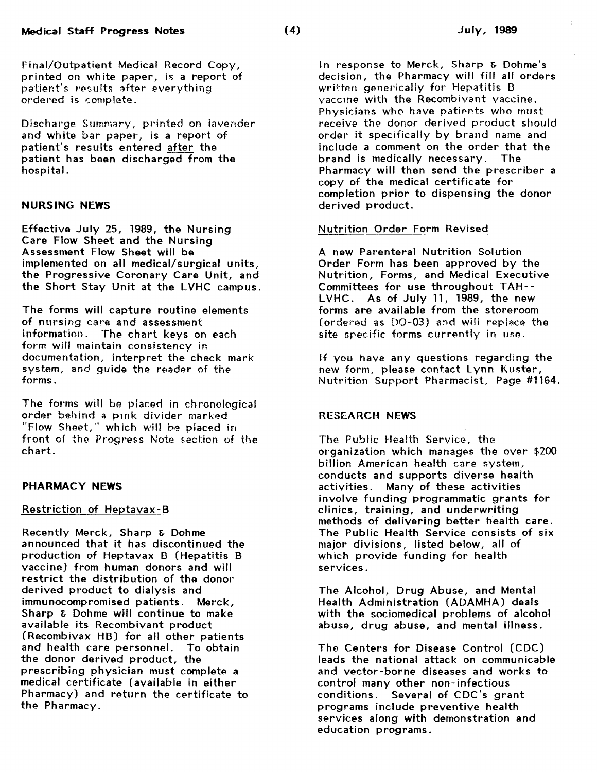Discharge Summary, printed on lavender and white bar paper, is a report of patient's results entered after the patient has been discharged from the hospital.

# NURSING NEWS

Effective July 25, 1989, the Nursing Care Flow Sheet and the Nursing Assessment Flow Sheet will be implemented on all medical/surgical units, the Progressive Coronary Care Unit, and the Short Stay Unit at the LVHC campus.

The forms will capture routine elements of nursing care and assessment information. The chart keys on each form will maintain consistency in documentation, interpret the check mark system, and guide the reader of the forms.

The forms will be placed in chronological order behind a pink divider marked "Flow Sheet," which will be placed in front of the Progress Note section of the chart.

## PHARMACY NEWS

# Restriction of Heptavax- B

Recently Merck, Sharp & Dohme announced that it has discontinued the production of Heptavax B (Hepatitis B vaccine) from human donors and will restrict the distribution of the donor derived product to dialysis and immunocompromised patients. Merck, Sharp & Dohme will continue to make available its Recombivant product (Recombivax HB) for all other patients and health care personnel. To obtain the donor derived product, the prescribing physician must complete a medical certificate (available in either Pharmacy) and return the certificate to the Pharmacy.

In response to Merck, Sharp & Dohme's decision, the Pharmacy will fill all orders written generically for Hepatitis B vaccine with the Recombivant vaccine. Physicians who have patients who must receive the donor derived product should order it specifically by brand name and include a comment on the order that the brand is medically necessary. The Pharmacy will then send the prescriber a copy of the medical certificate for completion prior to dispensing the donor derived product.

# Nutrition Order Form Revised

A new Parenteral Nutrition Solution Order Form has been approved by the Nutrition, Forms, and Medical Executive Committees for use throughout TAH-- LVHC. As of July 11, 1989, the new forms are available from the storeroom (ordered as  $DO-03$ ) and will replace the site specific forms currently in use.

If you have any questions regarding the new form, please contact Lynn Kuster, Nutrition Support Pharmacist, Page #1164.

# RESEARCH NEWS

The Public Health Service, the~ organization which manages the over \$200 billion American health care system, conducts and supports diverse health activities. Many of these activities involve funding programmatic grants for clinics, training, and underwriting methods of delivering better health care. The Public Health Service consists of six major divisions, listed below, all of which provide funding for health services.

The Alcohol, Drug Abuse, and Mental Health Administration (ADAMHA) deals with the sociomedical problems of alcohol abuse, drug abuse, and mental illness.

The Centers for Disease Control (CDC) leads the national attack on communicable and vector-borne diseases and works to control many other non- infectious conditions. Several of CDC's grant programs include preventive health services along with demonstration and education programs.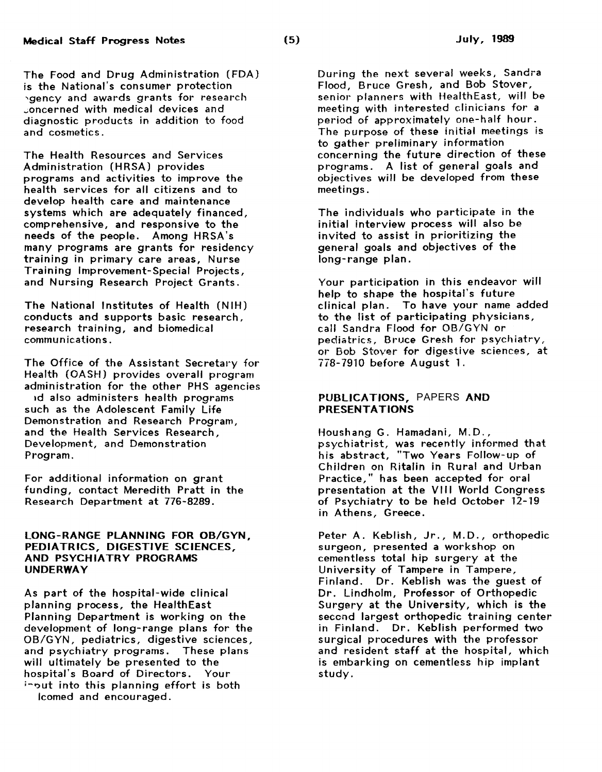The Food and Drug Administration (FDA) is the National's consumer protection 'gency and awards grants for research ..;oncerned with medical devices and diagnostic products in addition to food and cosmetics.

The Health Resources and Services Administration (HRSA) provides programs and activities to improve the health services for all citizens and to develop health care and maintenance systems which are adequately financed, comprehensive, and responsive to the needs of the people. Among HRSA's many programs are grants for residency training in primary care areas, Nurse Training Improvement-Special Projects, and Nursing Research Project Grants.

The National Institutes of Health (NIH) conducts and supports basic research, research training, and biomedical communications.

The Office of the Assistant Secretary for Health (OASH) provides overall program administration for the other PHS agencies 1d also administers health programs such as the Adolescent Family Life Demonstration and Research Program, and the Health Services Research, Development, and Demonstration Program.

For additional information on grant funding, contact Meredith Pratt in the Research Department at 776-8289.

### LONG-RANGE PLANNING FOR 08/GYN, PEDIATRICS, DIGESTIVE SCIENCES, AND PSYCHIATRY PROGRAMS UNDERWAY

As part of the hospital-wide clinical planning process, the HealthEast Planning Department is working on the development of long-range plans for the OB/GYN, pediatrics, digestive sciences, and psychiatry programs. These plans will ultimately be presented to the hospital's Board of Directors. Your input into this planning effort is both lcomed and encouraged.

During the next several weeks, Sandra Flood, Bruce Gresh, and Bob Stover, senior planners with HealthEast, will be meeting with interested clinicians for a period of approximately one-half hour. The purpose of these initial meetings is to gather preliminary information concerning the future direction of these programs. A list of general goals and objectives will be developed from these meetings.

The individuals who participate in the initial interview process will also be invited to assist in prioritizing the general goals and objectives of the long-range plan.

Your participation in this endeavor will help to shape the hospital's future clinical plan. To have your name added to the list of participating physicians, call Sandra Flood for OB/GYN or pediatrics, Bruce Gresh for psychiatry, or Bob Stover for digestive sciences, at 778-7910 before August 1.

## PUBLICATIONS, PAPERS AND PRESENTATIONS

Houshang G. Hamadani, M.D., psychiatrist, was recently informed that his abstract, "Two Years Follow-up of Children on Ritalin in Rural and Urban Practice," has been accepted for oral presentation at the VIII World Congress of Psychiatry to be held October 12-19 in Athens, Greece.

Peter A. Keblish, Jr., M.D., orthopedic surgeon, presented a workshop on cementless total hip surgery at the University of Tampere in Tampere, Finland. Dr. Keblish was the guest of Dr. Lindholm, Professor of Orthopedic Surgery at the University, which is the second largest orthopedic training center in Finland. Dr. Keblish performed two surgical procedures with the professor and resident staff at the hospital, which is embarking on cementless hip implant study.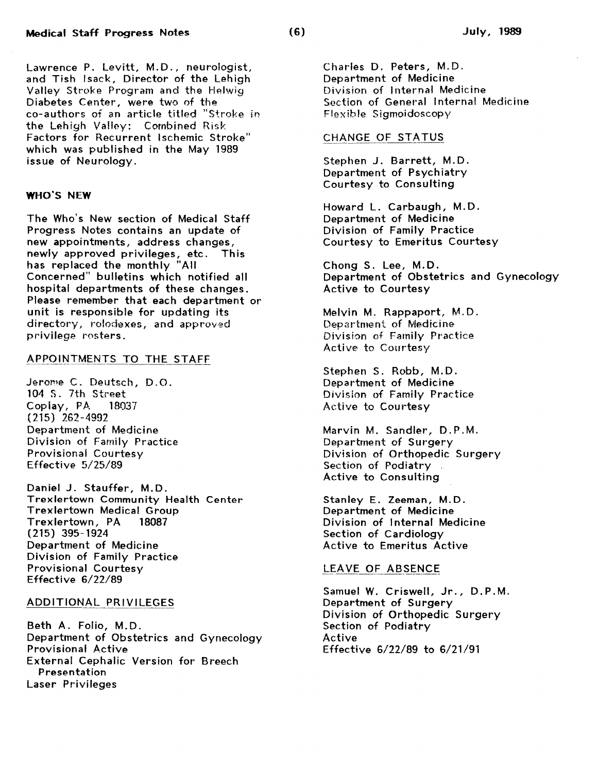Lawrence P. Levitt, M.D., neurologist, and Tish Isack, Director of the Lehigh Valley Stroke Program and the Helwig Diabetes Center, were two of the co-authors of an article titled "Stroke in the Lehigh Valley: Combined Risk Factors for Recurrent Ischemic Stroke" which was published in the May 1989 issue of Neurology.

## WHO'S NEW

The Who's New section of Medical Staff Progress Notes contains an update of new appointments, address changes, newly approved privileges, etc. This has replaced the monthly "All Concerned" bulletins which notified all hospital departments of these changes. Please remember that each department or unit is responsible for updating its directory, rolodexes, and approved privilege rosters.

## APPOINTMENTS TO THE STAFF

Jerome C. Deutsch, D.O. 104 S. 7th Street Coplay, PA 18037 (215) 262-4992 Department of Medicine Division of Family Practice Provisional Courtesy Effective 5/25/89

Daniel J. Stauffer, M.D. Trexlertown Community Health Center Trexlertown Medical Group Trexlertown, PA 18087 (215) 395-1924 Department of Medicine Division of Family Practice Provisional Courtesy Effective 6/22/89

#### ADDITIONAL PRIVILEGES

Beth A. Folio, M.D. Department of Obstetrics and Gynecology Provisional Active External Cephalic Version for Breech Presentation Laser Privileges

Charles D. Peters, M.D. Department of Medicine Division of Internal Medicine Section of General Internal Medicine Flexible Sigmoidoscopy

#### CHANGE OF STATUS

Stephen J. Barrett, M.D. Department of Psychiatry Courtesy to Consulting

Howard L. Carbaugh, M.D. Department of Medicine Division of Family Practice Courtesy to Emeritus Courtesy

Chong S. Lee, M.D. Department of Obstetrics and Gynecology Active to Courtesy

Melvin M. Rappaport, M.D. Department of Medicine Division of Family Practice Active to Courtesy

Stephen S. Robb, M.D. Department of Medicine Division of Family Practice Active to Courtesy

Marvin M. Sandler, D.P.M. Department of Surgery Division of Orthopedic Surgery Section of Podiatry Active to Consulting

Stanley E. Zeeman, M.D. Department of Medicine Division of Internal Medicine Section of Cardiology Active to Emeritus Active

# LEAVE OF ABSENCE

Samuel W. Criswell, Jr., D.P.M. Department of Surgery Division of Orthopedic Surgery Section of Podiatry Active Effective 6/22/89 to 6/21/91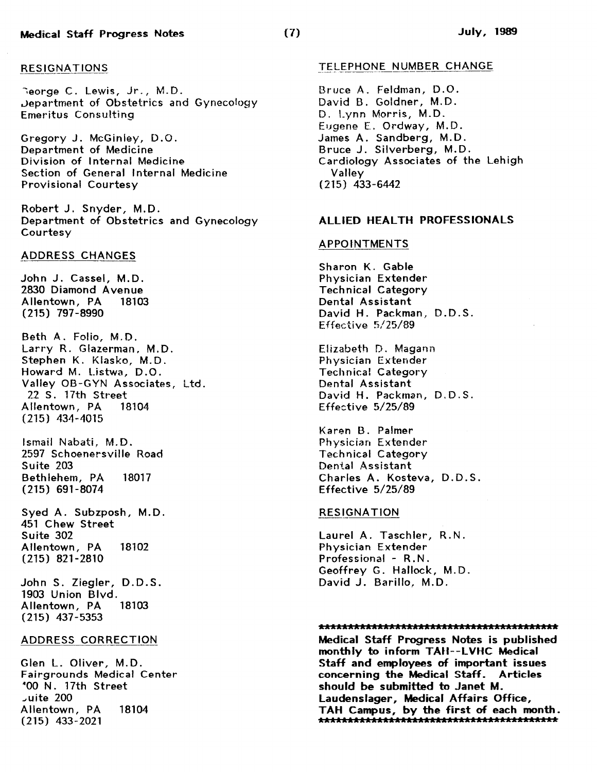#### RESIGNATIONS

Neorge C. Lewis, Jr., M.D. .Jepartment of Obstetrics and Gynecology Emeritus Consulting

Gregory J. McGinley, D. 0. Department of Medicine Division of Internal Medicine Section of General Internal Medicine Provisional Courtesy

Robert J. Snyder, M.D. Department of Obstetrics and Gynecology Courtesy

#### ADDRESS CHANGES

John J. Cassel, M.D. 2830 Diamond Avenue Allentown, PA 18103 (215) 797-8990

Beth A. Folio, M.D. Larry R. Glazerman, M.D. Stephen K. Klasko, M.D. Howard M. Listwa, D.O. Valley OB-GYN Associates, Ltd. 22 S. 17th Street Allentown, PA 18104 (215) 434-4015

Ismail Nabati, M.D. 2597 Schoenersville Road Suite 203 Bethlehem, PA 18017 (215) 691-8074

Syed A. Subzposh, M.D. 451 Chew Street Suite 302 Allentown, PA 18102 (215) 821-2810

John S. Ziegler, D.D.S. 1903 Union Blvd.<br>Allentown, PA 18103 Allentown, PA (215) 437-5353

## ADDRESS CORRECTION

Glen L. Oliver, M.D. Fairgrounds Medical Center •oo N. 17th Street \_,uite 200 Allentown, PA 18104 (215) 433-2021

#### TELEPHONE NUMBER CHANGE

Bruce A. Feldman, D.O. David B. Goldner, M.D . D. Lynn Morris, M.D. Eugene E. Ordway, M.D. James A. Sandberg, M.D. Bruce J. Silverberg, M.D. Cardiology Associates of the Lehigh Valley (215) 433-6442

#### ALLIED HEALTH PROFESSIONALS

#### APPOINTMENTS

Sharon K. Gable Physician Extender Technical Category Dental Assistant David H. Packman, D.D.S. Effective 5/25/89

Elizabeth D. Magann Physician Extender Technical Category Dental Assistant David H. Packman, D.D.S. Effective 5/25/89

Karen B. Palmer Physician Extender Technical Category Dental Assistant Charles A. Kosteva, D.D.S. Effective 5/25/89

#### RESIGNATION

Laurel A. Taschler, R.N. Physician Extender Professional - R.N. Geoffrey G. Hallock, M.D. David J. Barillo, M.D.

#### 

Medical Staff Progress Notes is published monthly to inform TAU--LVHC Medical Staff and employees of important issues concerning the Medical Staff. Articles should be submitted to Janet M. Laudenslager, Medical Affairs Office, TAH Campus, by the first of each month. AAAAAAAAAAAAAAAAAAAAAAAAAAAAAAAAAAAAAAAAA